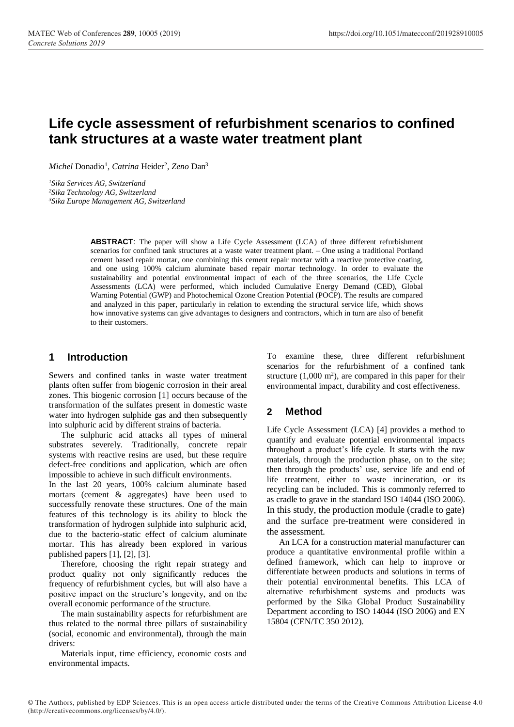# **Life cycle assessment of refurbishment scenarios to confined tank structures at a waste water treatment plant**

Michel Donadio<sup>1</sup>, *Catrina* Heider<sup>2</sup>, *Zeno* Dan<sup>3</sup>

*<sup>1</sup>Sika Services AG, Switzerland*

*<sup>2</sup>Sika Technology AG, Switzerland*

*<sup>3</sup>Sika Europe Management AG, Switzerland*

**ABSTRACT**: The paper will show a Life Cycle Assessment (LCA) of three different refurbishment scenarios for confined tank structures at a waste water treatment plant. – One using a traditional Portland cement based repair mortar, one combining this cement repair mortar with a reactive protective coating, and one using 100% calcium aluminate based repair mortar technology. In order to evaluate the sustainability and potential environmental impact of each of the three scenarios, the Life Cycle Assessments (LCA) were performed, which included Cumulative Energy Demand (CED), Global Warning Potential (GWP) and Photochemical Ozone Creation Potential (POCP). The results are compared and analyzed in this paper, particularly in relation to extending the structural service life, which shows how innovative systems can give advantages to designers and contractors, which in turn are also of benefit to their customers.

## **1 Introduction**

Sewers and confined tanks in waste water treatment plants often suffer from biogenic corrosion in their areal zones. This biogenic corrosion [1] occurs because of the transformation of the sulfates present in domestic waste water into hydrogen sulphide gas and then subsequently into sulphuric acid by different strains of bacteria.

The sulphuric acid attacks all types of mineral substrates severely. Traditionally, concrete repair systems with reactive resins are used, but these require defect-free conditions and application, which are often impossible to achieve in such difficult environments.

In the last 20 years, 100% calcium aluminate based mortars (cement & aggregates) have been used to successfully renovate these structures. One of the main features of this technology is its ability to block the transformation of hydrogen sulphide into sulphuric acid, due to the bacterio-static effect of calcium aluminate mortar. This has already been explored in various published papers [1], [2], [3].

Therefore, choosing the right repair strategy and product quality not only significantly reduces the frequency of refurbishment cycles, but will also have a positive impact on the structure's longevity, and on the overall economic performance of the structure.

The main sustainability aspects for refurbishment are thus related to the normal three pillars of sustainability (social, economic and environmental), through the main drivers:

Materials input, time efficiency, economic costs and environmental impacts.

To examine these, three different refurbishment scenarios for the refurbishment of a confined tank structure  $(1,000 \text{ m}^2)$ , are compared in this paper for their environmental impact, durability and cost effectiveness.

## **2 Method**

Life Cycle Assessment (LCA) [4] provides a method to quantify and evaluate potential environmental impacts throughout a product's life cycle. It starts with the raw materials, through the production phase, on to the site; then through the products' use, service life and end of life treatment, either to waste incineration, or its recycling can be included. This is commonly referred to as cradle to grave in the standard ISO 14044 (ISO 2006). In this study, the production module (cradle to gate) and the surface pre-treatment were considered in the assessment.

An LCA for a construction material manufacturer can produce a quantitative environmental profile within a defined framework, which can help to improve or differentiate between products and solutions in terms of their potential environmental benefits. This LCA of alternative refurbishment systems and products was performed by the Sika Global Product Sustainability Department according to ISO 14044 (ISO 2006) and EN 15804 (CEN/TC 350 2012).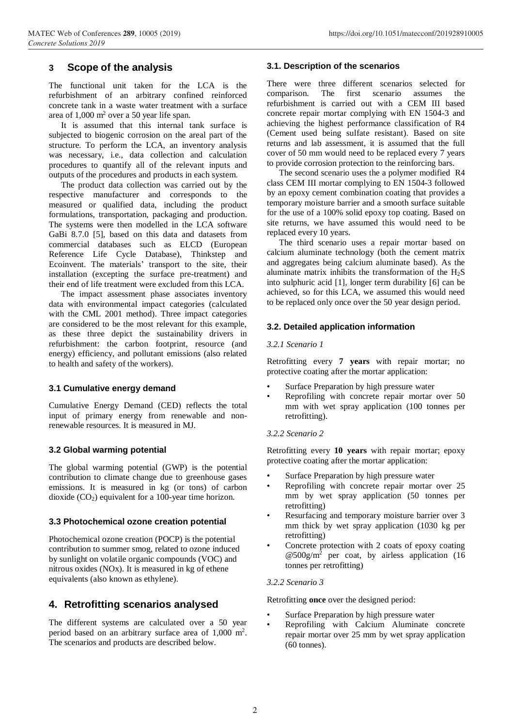## **3 Scope of the analysis**

The functional unit taken for the LCA is the refurbishment of an arbitrary confined reinforced concrete tank in a waste water treatment with a surface area of 1,000 m<sup>2</sup> over a 50 year life span.

It is assumed that this internal tank surface is subjected to biogenic corrosion on the areal part of the structure. To perform the LCA, an inventory analysis was necessary, i.e., data collection and calculation procedures to quantify all of the relevant inputs and outputs of the procedures and products in each system.

The product data collection was carried out by the respective manufacturer and corresponds to the measured or qualified data, including the product formulations, transportation, packaging and production. The systems were then modelled in the LCA software GaBi 8.7.0 [5], based on this data and datasets from commercial databases such as ELCD (European Reference Life Cycle Database), Thinkstep and Ecoinvent. The materials' transport to the site, their installation (excepting the surface pre-treatment) and their end of life treatment were excluded from this LCA.

The impact assessment phase associates inventory data with environmental impact categories (calculated with the CML 2001 method). Three impact categories are considered to be the most relevant for this example, as these three depict the sustainability drivers in refurbishment: the carbon footprint, resource (and energy) efficiency, and pollutant emissions (also related to health and safety of the workers).

## **3.1 Cumulative energy demand**

Cumulative Energy Demand (CED) reflects the total input of primary energy from renewable and nonrenewable resources. It is measured in MJ.

## **3.2 Global warming potential**

The global warming potential (GWP) is the potential contribution to climate change due to greenhouse gases emissions. It is measured in kg (or tons) of carbon dioxide  $(CO_2)$  equivalent for a 100-year time horizon.

## **3.3 Photochemical ozone creation potential**

Photochemical ozone creation (POCP) is the potential contribution to summer smog, related to ozone induced by sunlight on volatile organic compounds (VOC) and nitrous oxides (NOx). It is measured in kg of ethene equivalents (also known as ethylene).

## **4. Retrofitting scenarios analysed**

The different systems are calculated over a 50 year period based on an arbitrary surface area of 1,000 m<sup>2</sup> . The scenarios and products are described below.

### **3.1. Description of the scenarios**

There were three different scenarios selected for comparison. The first scenario assumes the refurbishment is carried out with a CEM III based concrete repair mortar complying with EN 1504-3 and achieving the highest performance classification of R4 (Cement used being sulfate resistant). Based on site returns and lab assessment, it is assumed that the full cover of 50 mm would need to be replaced every 7 years to provide corrosion protection to the reinforcing bars.

The second scenario uses the a polymer modified R4 class CEM III mortar complying to EN 1504-3 followed by an epoxy cement combination coating that provides a temporary moisture barrier and a smooth surface suitable for the use of a 100% solid epoxy top coating. Based on site returns, we have assumed this would need to be replaced every 10 years.

The third scenario uses a repair mortar based on calcium aluminate technology (both the cement matrix and aggregates being calcium aluminate based). As the aluminate matrix inhibits the transformation of the  $H_2S$ into sulphuric acid [1], longer term durability [6] can be achieved, so for this LCA, we assumed this would need to be replaced only once over the 50 year design period.

### **3.2. Detailed application information**

#### *3.2.1 Scenario 1*

Retrofitting every **7 years** with repair mortar; no protective coating after the mortar application:

- Surface Preparation by high pressure water
- Reprofiling with concrete repair mortar over 50 mm with wet spray application (100 tonnes per retrofitting).

#### *3.2.2 Scenario 2*

Retrofitting every **10 years** with repair mortar; epoxy protective coating after the mortar application:

- Surface Preparation by high pressure water
- Reprofiling with concrete repair mortar over 25 mm by wet spray application (50 tonnes per retrofitting)
- Resurfacing and temporary moisture barrier over 3 mm thick by wet spray application (1030 kg per retrofitting)
- Concrete protection with 2 coats of epoxy coating  $\omega$ 500g/m<sup>2</sup> per coat, by airless application (16 tonnes per retrofitting)

## *3.2.2 Scenario 3*

Retrofitting **once** over the designed period:

- Surface Preparation by high pressure water
- Reprofiling with Calcium Aluminate concrete repair mortar over 25 mm by wet spray application (60 tonnes).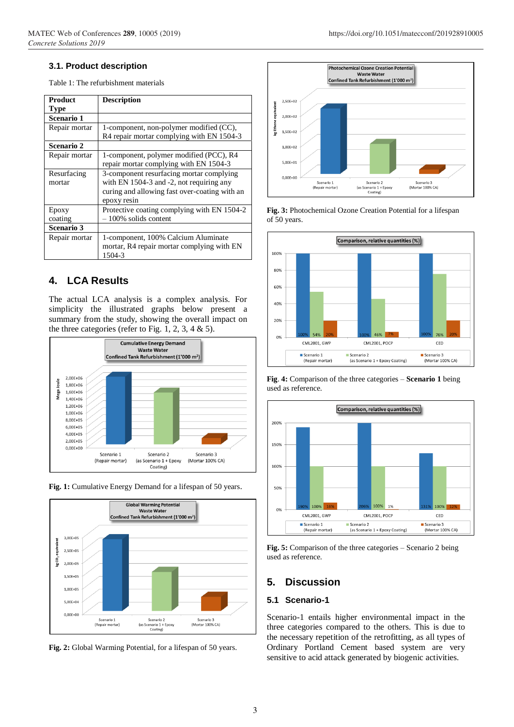## **3.1. Product description**

Table 1: The refurbishment materials

| Product       | <b>Description</b>                            |
|---------------|-----------------------------------------------|
| Type          |                                               |
| Scenario 1    |                                               |
| Repair mortar | 1-component, non-polymer modified (CC),       |
|               | R4 repair mortar complying with EN 1504-3     |
| Scenario 2    |                                               |
| Repair mortar | 1-component, polymer modified (PCC), R4       |
|               | repair mortar complying with EN 1504-3        |
| Resurfacing   | 3-component resurfacing mortar complying      |
| mortar        | with EN 1504-3 and -2, not requiring any      |
|               | curing and allowing fast over-coating with an |
|               | epoxy resin                                   |
| Epoxy         | Protective coating complying with EN 1504-2   |
| coating       | $-100\%$ solids content                       |
| Scenario 3    |                                               |
| Repair mortar | 1-component, 100% Calcium Aluminate           |
|               | mortar, R4 repair mortar complying with EN    |
|               | 1504-3                                        |

## **4. LCA Results**

The actual LCA analysis is a complex analysis. For simplicity the illustrated graphs below present a summary from the study, showing the overall impact on the three categories (refer to Fig. 1, 2, 3, 4  $\&$  5).







**Fig. 2:** Global Warming Potential, for a lifespan of 50 years.



#### **Fig. 3:** Photochemical Ozone Creation Potential for a lifespan of 50 years.



**Fig**. **4:** Comparison of the three categories – **Scenario 1** being used as reference.



**Fig. 5:** Comparison of the three categories – Scenario 2 being used as reference.

## **5. Discussion**

## **5.1 Scenario-1**

Scenario-1 entails higher environmental impact in the three categories compared to the others. This is due to the necessary repetition of the retrofitting, as all types of Ordinary Portland Cement based system are very sensitive to acid attack generated by biogenic activities.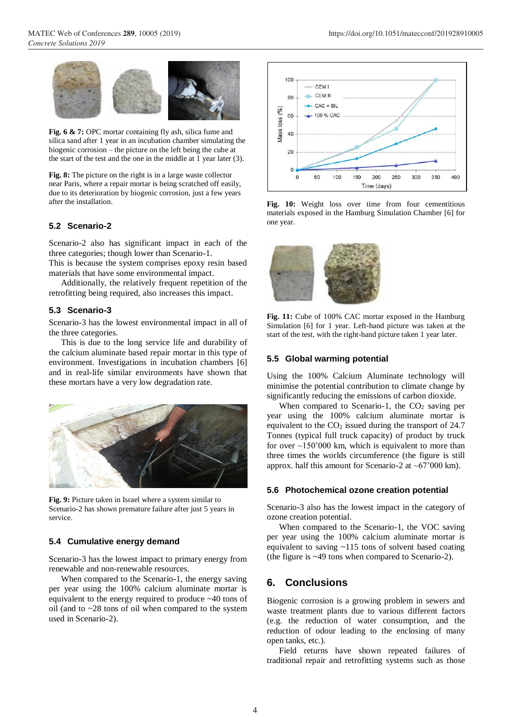

Fig. 6 & 7: OPC mortar containing fly ash, silica fume and silica sand after 1 year in an incubation chamber simulating the biogenic corrosion – the picture on the left being the cube at the start of the test and the one in the middle at 1 year later (3).

**Fig. 8:** The picture on the right is in a large waste collector near Paris, where a repair mortar is being scratched off easily, due to its deterioration by biogenic corrosion, just a few years after the installation.

### **5.2 Scenario-2**

Scenario-2 also has significant impact in each of the three categories; though lower than Scenario-1.

This is because the system comprises epoxy resin based materials that have some environmental impact.

Additionally, the relatively frequent repetition of the retrofitting being required, also increases this impact.

#### **5.3 Scenario-3**

Scenario-3 has the lowest environmental impact in all of the three categories.

This is due to the long service life and durability of the calcium aluminate based repair mortar in this type of environment. Investigations in incubation chambers [6] and in real-life similar environments have shown that these mortars have a very low degradation rate.



**Fig. 9:** Picture taken in Israel where a system similar to Scenario-2 has shown premature failure after just 5 years in service.

#### **5.4 Cumulative energy demand**

Scenario-3 has the lowest impact to primary energy from renewable and non-renewable resources.

When compared to the Scenario-1, the energy saving per year using the 100% calcium aluminate mortar is equivalent to the energy required to produce ~40 tons of oil (and to ~28 tons of oil when compared to the system used in Scenario-2).



Fig. 10: Weight loss over time from four cementitious materials exposed in the Hamburg Simulation Chamber [6] for one year.



**Fig. 11:** Cube of 100% CAC mortar exposed in the Hamburg Simulation [6] for 1 year. Left-hand picture was taken at the start of the test, with the right-hand picture taken 1 year later.

## **5.5 Global warming potential**

Using the 100% Calcium Aluminate technology will minimise the potential contribution to climate change by significantly reducing the emissions of carbon dioxide.

When compared to Scenario-1, the  $CO<sub>2</sub>$  saving per year using the 100% calcium aluminate mortar is equivalent to the  $CO<sub>2</sub>$  issued during the transport of 24.7 Tonnes (typical full truck capacity) of product by truck for over  $\sim$ 150'000 km, which is equivalent to more than three times the worlds circumference (the figure is still approx. half this amount for Scenario-2 at  $~67'000$  km).

#### **5.6 Photochemical ozone creation potential**

Scenario-3 also has the lowest impact in the category of ozone creation potential.

When compared to the Scenario-1, the VOC saving per year using the 100% calcium aluminate mortar is equivalent to saving ~115 tons of solvent based coating (the figure is ~49 tons when compared to Scenario-2).

## **6. Conclusions**

Biogenic corrosion is a growing problem in sewers and waste treatment plants due to various different factors (e.g. the reduction of water consumption, and the reduction of odour leading to the enclosing of many open tanks, etc.).

Field returns have shown repeated failures of traditional repair and retrofitting systems such as those